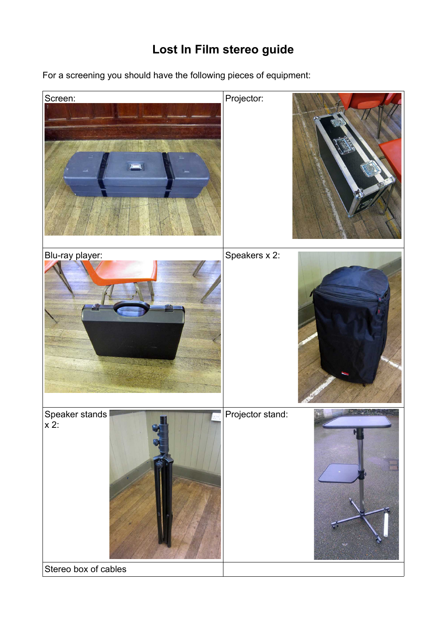# **Lost In Film stereo guide**

For a screening you should have the following pieces of equipment:

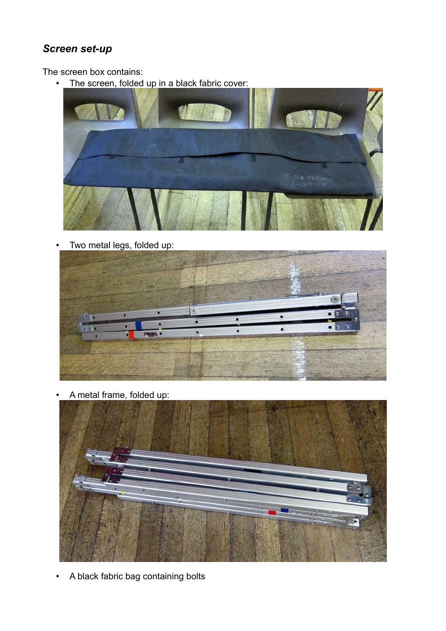# *Screen set-up*

The screen box contains:

• The screen, folded up in a black fabric cover:



• Two metal legs, folded up:



• A metal frame, folded up:



• A black fabric bag containing bolts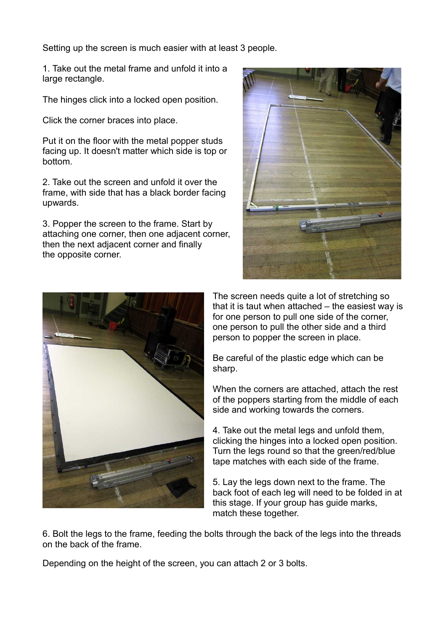Setting up the screen is much easier with at least 3 people.

1. Take out the metal frame and unfold it into a large rectangle.

The hinges click into a locked open position.

Click the corner braces into place.

Put it on the floor with the metal popper studs facing up. It doesn't matter which side is top or bottom.

2. Take out the screen and unfold it over the frame, with side that has a black border facing upwards.

3. Popper the screen to the frame. Start by attaching one corner, then one adjacent corner, then the next adjacent corner and finally the opposite corner.





The screen needs quite a lot of stretching so that it is taut when attached – the easiest way is for one person to pull one side of the corner, one person to pull the other side and a third person to popper the screen in place.

Be careful of the plastic edge which can be sharp.

When the corners are attached, attach the rest of the poppers starting from the middle of each side and working towards the corners.

4. Take out the metal legs and unfold them, clicking the hinges into a locked open position. Turn the legs round so that the green/red/blue tape matches with each side of the frame.

5. Lay the legs down next to the frame. The back foot of each leg will need to be folded in at this stage. If your group has guide marks, match these together.

6. Bolt the legs to the frame, feeding the bolts through the back of the legs into the threads on the back of the frame.

Depending on the height of the screen, you can attach 2 or 3 bolts.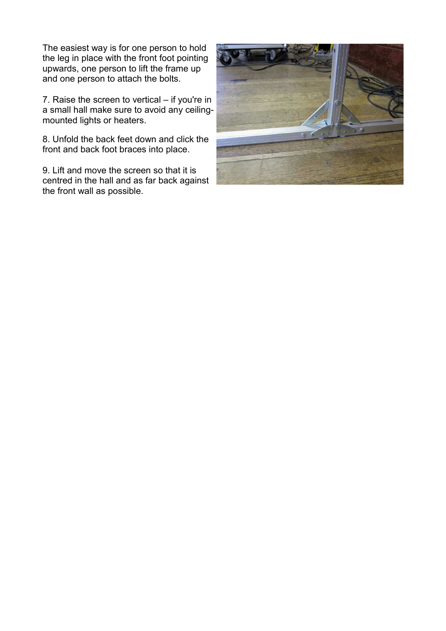The easiest way is for one person to hold the leg in place with the front foot pointing upwards, one person to lift the frame up and one person to attach the bolts.

7. Raise the screen to vertical – if you're in a small hall make sure to avoid any ceilingmounted lights or heaters.

8. Unfold the back feet down and click the front and back foot braces into place.

9. Lift and move the screen so that it is centred in the hall and as far back against the front wall as possible.

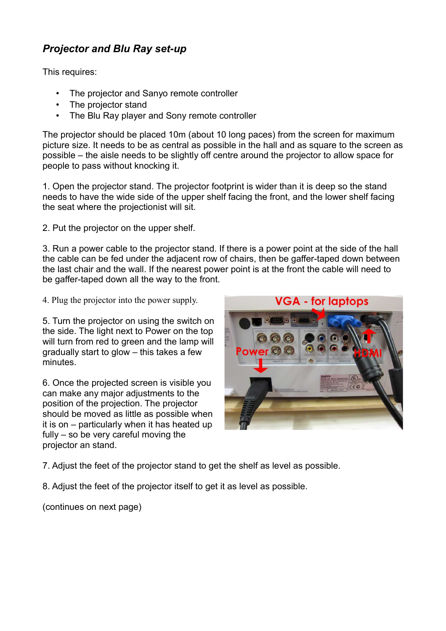# *Projector and Blu Ray set-up*

This requires:

- The projector and Sanyo remote controller
- The projector stand
- The Blu Ray player and Sony remote controller

The projector should be placed 10m (about 10 long paces) from the screen for maximum picture size. It needs to be as central as possible in the hall and as square to the screen as possible – the aisle needs to be slightly off centre around the projector to allow space for people to pass without knocking it.

1. Open the projector stand. The projector footprint is wider than it is deep so the stand needs to have the wide side of the upper shelf facing the front, and the lower shelf facing the seat where the projectionist will sit.

2. Put the projector on the upper shelf.

3. Run a power cable to the projector stand. If there is a power point at the side of the hall the cable can be fed under the adjacent row of chairs, then be gaffer-taped down between the last chair and the wall. If the nearest power point is at the front the cable will need to be gaffer-taped down all the way to the front.

4. Plug the projector into the power supply.

5. Turn the projector on using the switch on the side. The light next to Power on the top will turn from red to green and the lamp will gradually start to glow – this takes a few minutes.

6. Once the projected screen is visible you can make any major adjustments to the position of the projection. The projector should be moved as little as possible when it is on – particularly when it has heated up fully – so be very careful moving the projector an stand.



7. Adjust the feet of the projector stand to get the shelf as level as possible.

8. Adjust the feet of the projector itself to get it as level as possible.

(continues on next page)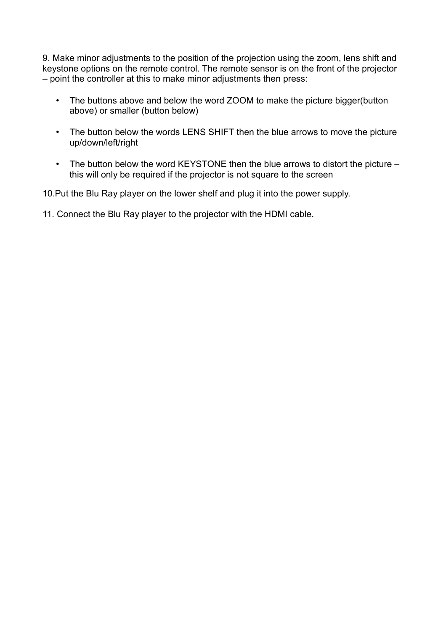9. Make minor adjustments to the position of the projection using the zoom, lens shift and keystone options on the remote control. The remote sensor is on the front of the projector – point the controller at this to make minor adjustments then press:

- The buttons above and below the word ZOOM to make the picture bigger(button above) or smaller (button below)
- The button below the words LENS SHIFT then the blue arrows to move the picture up/down/left/right
- The button below the word KEYSTONE then the blue arrows to distort the picture this will only be required if the projector is not square to the screen

10.Put the Blu Ray player on the lower shelf and plug it into the power supply.

11. Connect the Blu Ray player to the projector with the HDMI cable.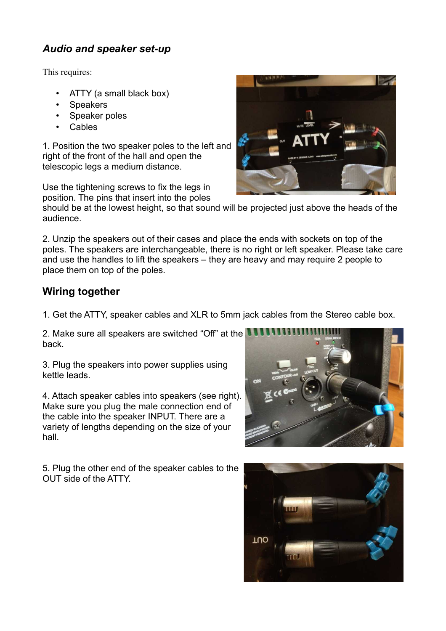## *Audio and speaker set-up*

This requires:

- ATTY (a small black box)
- Speakers
- Speaker poles
- **Cables**

1. Position the two speaker poles to the left and right of the front of the hall and open the telescopic legs a medium distance.

Use the tightening screws to fix the legs in position. The pins that insert into the poles



2. Unzip the speakers out of their cases and place the ends with sockets on top of the poles. The speakers are interchangeable, there is no right or left speaker. Please take care and use the handles to lift the speakers – they are heavy and may require 2 people to place them on top of the poles.

#### **Wiring together**

1. Get the ATTY, speaker cables and XLR to 5mm jack cables from the Stereo cable box.

2. Make sure all speakers are switched "Off" at the back.

3. Plug the speakers into power supplies using kettle leads.

4. Attach speaker cables into speakers (see right). Make sure you plug the male connection end of the cable into the speaker INPUT. There are a variety of lengths depending on the size of your hall.

5. Plug the other end of the speaker cables to the OUT side of the ATTY.





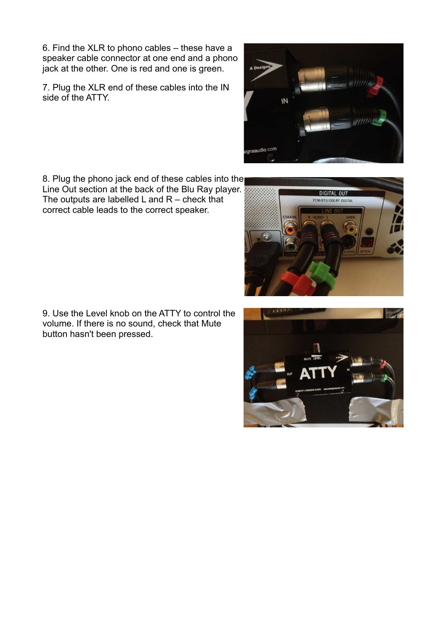6. Find the XLR to phono cables – these have a speaker cable connector at one end and a phono jack at the other. One is red and one is green.

7. Plug the XLR end of these cables into the IN side of the ATTY.

8. Plug the phono jack end of these cables into the Line Out section at the back of the Blu Ray player. The outputs are labelled  $L$  and  $R$  – check that correct cable leads to the correct speaker.

9. Use the Level knob on the ATTY to control the volume. If there is no sound, check that Mute button hasn't been pressed.